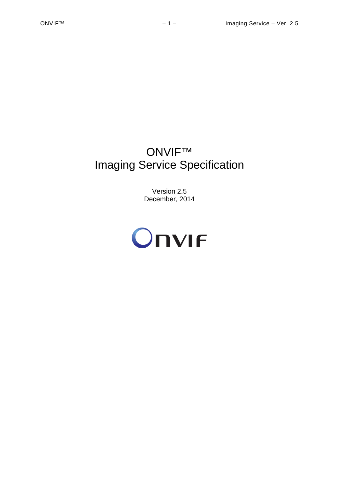# ONVIF™ Imaging Service Specification

Version 2.5 December, 2014

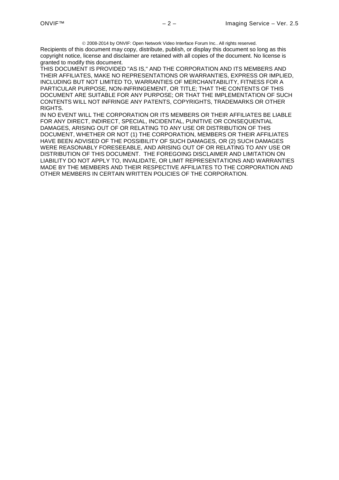2008-2014 by ONVIF: Open Network Video Interface Forum Inc.. All rights reserved. Recipients of this document may copy, distribute, publish, or display this document so long as this copyright notice, license and disclaimer are retained with all copies of the document. No license is granted to modify this document.

THIS DOCUMENT IS PROVIDED "AS IS," AND THE CORPORATION AND ITS MEMBERS AND THEIR AFFILIATES, MAKE NO REPRESENTATIONS OR WARRANTIES, EXPRESS OR IMPLIED, INCLUDING BUT NOT LIMITED TO, WARRANTIES OF MERCHANTABILITY, FITNESS FOR A PARTICULAR PURPOSE, NON-INFRINGEMENT, OR TITLE; THAT THE CONTENTS OF THIS DOCUMENT ARE SUITABLE FOR ANY PURPOSE; OR THAT THE IMPLEMENTATION OF SUCH CONTENTS WILL NOT INFRINGE ANY PATENTS, COPYRIGHTS, TRADEMARKS OR OTHER RIGHTS.

IN NO EVENT WILL THE CORPORATION OR ITS MEMBERS OR THEIR AFFILIATES BE LIABLE FOR ANY DIRECT, INDIRECT, SPECIAL, INCIDENTAL, PUNITIVE OR CONSEQUENTIAL DAMAGES, ARISING OUT OF OR RELATING TO ANY USE OR DISTRIBUTION OF THIS DOCUMENT, WHETHER OR NOT (1) THE CORPORATION, MEMBERS OR THEIR AFFILIATES HAVE BEEN ADVISED OF THE POSSIBILITY OF SUCH DAMAGES, OR (2) SUCH DAMAGES WERE REASONABLY FORESEEABLE, AND ARISING OUT OF OR RELATING TO ANY USE OR DISTRIBUTION OF THIS DOCUMENT. THE FOREGOING DISCLAIMER AND LIMITATION ON LIABILITY DO NOT APPLY TO, INVALIDATE, OR LIMIT REPRESENTATIONS AND WARRANTIES MADE BY THE MEMBERS AND THEIR RESPECTIVE AFFILIATES TO THE CORPORATION AND OTHER MEMBERS IN CERTAIN WRITTEN POLICIES OF THE CORPORATION.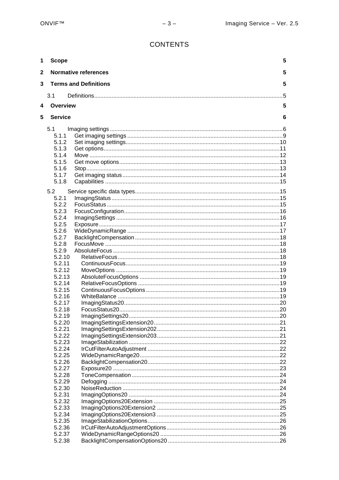# **CONTENTS**

| 1           | <b>Scope</b>   |                              | 5  |
|-------------|----------------|------------------------------|----|
| $\mathbf 2$ |                | <b>Normative references</b>  | 5  |
| 3           |                | <b>Terms and Definitions</b> | 5  |
|             | 3.1            |                              | 5  |
| 4           | Overview       |                              | 5  |
| 5           | <b>Service</b> |                              | 6  |
|             | 5.1            |                              |    |
|             | 5.1.1          |                              |    |
|             | 5.1.2          |                              |    |
|             | 5.1.3          |                              |    |
|             | 5.1.4          |                              |    |
|             | 5.1.5          |                              |    |
|             | 5.1.6          |                              |    |
|             | 5.1.7          |                              |    |
|             | 5.1.8          |                              |    |
|             |                |                              |    |
|             | 5.2            |                              |    |
|             | 5.2.1          |                              |    |
|             | 5.2.2          |                              |    |
|             | 5.2.3          |                              |    |
|             | 5.2.4          |                              |    |
|             | 5.2.5          |                              |    |
|             | 5.2.6          |                              |    |
|             | 5.2.7          |                              |    |
|             | 5.2.8          |                              |    |
|             | 5.2.9          |                              |    |
|             | 5.2.10         |                              |    |
|             | 5.2.11         |                              |    |
|             | 5.2.12         |                              |    |
|             | 5.2.13         |                              |    |
|             | 5.2.14         |                              |    |
|             | 5.2.15         |                              |    |
|             | 5.2.16         |                              |    |
|             | 5.2.17         |                              |    |
|             | 5.2.18         | FocusStatus20                | 20 |
|             | 5.2.19         |                              |    |
|             | 5.2.20         |                              |    |
|             | 5.2.21         |                              |    |
|             | 5.2.22         |                              |    |
|             | 5.2.23         |                              |    |
|             |                |                              |    |
|             | 5.2.24         |                              |    |
|             | 5.2.25         |                              |    |
|             | 5.2.26         |                              |    |
|             | 5.2.27         |                              |    |
|             | 5.2.28         |                              |    |
|             | 5.2.29         |                              |    |
|             | 5.2.30         |                              |    |
|             | 5.2.31         |                              |    |
|             | 5.2.32         |                              |    |
|             | 5.2.33         |                              |    |
|             | 5.2.34         |                              |    |
|             | 5.2.35         |                              |    |
|             | 5.2.36         |                              |    |
|             | 5.2.37         |                              |    |
|             | 5.2.38         |                              |    |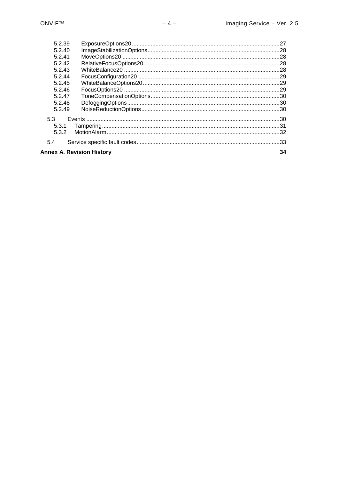| 5.2.39 |                                        |  |  |
|--------|----------------------------------------|--|--|
| 5.2.40 |                                        |  |  |
| 5.2.41 |                                        |  |  |
| 5.2.42 |                                        |  |  |
| 5.2.43 |                                        |  |  |
| 5.2.44 |                                        |  |  |
| 5.2.45 |                                        |  |  |
| 5.2.46 |                                        |  |  |
| 5.2.47 |                                        |  |  |
| 5.2.48 |                                        |  |  |
| 5.2.49 |                                        |  |  |
| 5.3    |                                        |  |  |
| 5.3.1  |                                        |  |  |
| 5.3.2  |                                        |  |  |
| 5.4    |                                        |  |  |
|        | <b>Annex A. Revision History</b><br>34 |  |  |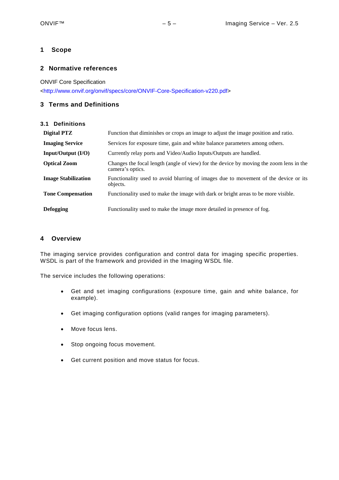## <span id="page-4-0"></span>**1 Scope**

## <span id="page-4-1"></span>**2 Normative references**

ONVIF Core Specification

[<http://www.onvif.org/onvif/specs/core/ONVIF-Core-Specification-v220.pdf>](http://www.onvif.org/onvif/specs/core/ONVIF-Core-Specification-v220.pdf)

## <span id="page-4-2"></span>**3 Terms and Definitions**

<span id="page-4-3"></span>

| <b>3.1 Definitions</b>     |                                                                                                            |
|----------------------------|------------------------------------------------------------------------------------------------------------|
| Digital PTZ                | Function that diminishes or crops an image to adjust the image position and ratio.                         |
| <b>Imaging Service</b>     | Services for exposure time, gain and white balance parameters among others.                                |
| Input/Output (I/O)         | Currently relay ports and Video/Audio Inputs/Outputs are handled.                                          |
| <b>Optical Zoom</b>        | Changes the focal length (angle of view) for the device by moving the zoom lens in the<br>camera's optics. |
| <b>Image Stabilization</b> | Functionality used to avoid blurring of images due to movement of the device or its<br>objects.            |
| <b>Tone Compensation</b>   | Functionality used to make the image with dark or bright areas to be more visible.                         |
| <b>Defogging</b>           | Functionality used to make the image more detailed in presence of fog.                                     |

## <span id="page-4-4"></span>**4 Overview**

The imaging service provides configuration and control data for imaging specific properties. WSDL is part of the framework and provided in the Imaging WSDL file.

The service includes the following operations:

- Get and set imaging configurations (exposure time, gain and white balance, for example).
- Get imaging configuration options (valid ranges for imaging parameters).
- Move focus lens.
- Stop ongoing focus movement.
- Get current position and move status for focus.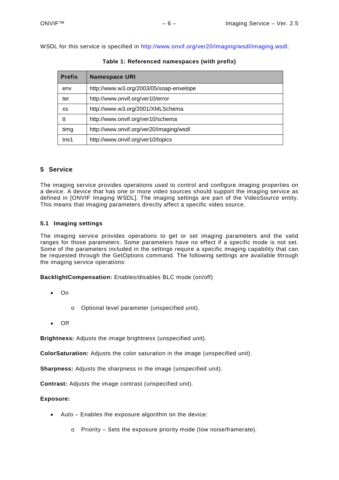WSDL for this service is specified in [http://www.onvif.org/ver20/imaging/wsdl/imaging.wsdl.](http://www.onvif.org/ver20/imaging/wsdl/imaging.wsdl)

| <b>Prefix</b> | <b>Namespace URI</b>                    |  |
|---------------|-----------------------------------------|--|
| env           | http://www.w3.org/2003/05/soap-envelope |  |
| ter           | http://www.onvif.org/ver10/error        |  |
| XS            | http://www.w3.org/2001/XMLSchema        |  |
| tt            | http://www.onvif.org/ver10/schema       |  |
| timg          | http://www.onvif.org/ver20/imaging/wsdl |  |
| tns1          | http://www.onvif.org/ver10/topics       |  |

**Table 1: Referenced namespaces (with prefix)**

## <span id="page-5-0"></span>**5 Service**

The imaging service provides operations used to control and configure imaging properties on a device. A device that has one or more video sources should support the imaging service as defined in [ONVIF Imaging WSDL]. The imaging settings are part of the VideoSource entity. This means that imaging parameters directly affect a specific video source.

## <span id="page-5-1"></span>**5.1 Imaging settings**

The imaging service provides operations to get or set imaging parameters and the valid ranges for those parameters. Some parameters have no effect if a specific mode is not set. Some of the parameters included in the settings require a specific imaging capability that can be requested through the GetOptions command. The following settings are available through the imaging service operations:

**BacklightCompensation:** Enables/disables BLC mode (on/off)

- On
	- o Optional level parameter (unspecified unit).
- Off

**Brightness:** Adjusts the image brightness (unspecified unit).

**ColorSaturation:** Adjusts the color saturation in the image (unspecified unit).

**Sharpness:** Adjusts the sharpness in the image (unspecified unit).

**Contrast:** Adjusts the image contrast (unspecified unit).

## **Exposure:**

- Auto Enables the exposure algorithm on the device:
	- o Priority Sets the exposure priority mode (low noise/framerate).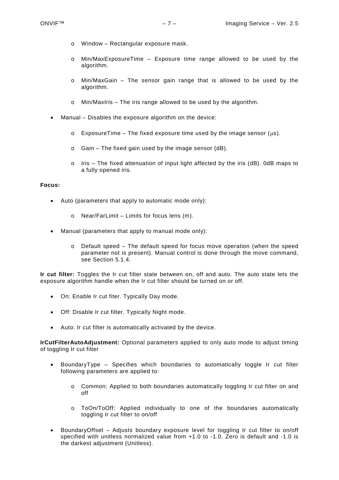- o Window Rectangular exposure mask.
- o Min/MaxExposureTime Exposure time range allowed to be used by the algorithm.
- o Min/MaxGain The sensor gain range that is allowed to be used by the algorithm.
- o Min/MaxIris The iris range allowed to be used by the algorithm.
- Manual Disables the exposure algorithm on the device:
	- $\circ$  ExposureTime The fixed exposure time used by the image sensor ( $\mu$ s).
	- $\circ$  Gain The fixed gain used by the image sensor (dB).
	- $\circ$  Iris The fixed attenuation of input light affected by the iris (dB). 0dB maps to a fully opened iris.

## **Focus:**

- Auto (parameters that apply to automatic mode only):
	- o Near/FarLimit Limits for focus lens (m).
- Manual (parameters that apply to manual mode only):
	- $\circ$  Default speed The default speed for focus move operation (when the speed parameter not is present). Manual control is done through the move command, see Section [5.1.4.](#page-11-0)

**Ir cut filter:** Toggles the Ir cut filter state between on, off and auto. The auto state lets the exposure algorithm handle when the Ir cut filter should be turned on or off.

- On: Enable Ir cut fiter. Typically Day mode.
- Off: Disable Ir cut filter. Typically Night mode.
- Auto: Ir cut filter is automatically activated by the device.

**IrCutFilterAutoAdjustment:** Optional parameters applied to only auto mode to adjust timing of toggling Ir cut filter

- BoundaryType Specifies which boundaries to automatically toggle Ir cut filter following parameters are applied to:
	- o Common: Applied to both boundaries automatically toggling Ir cut filter on and off
	- o ToOn/ToOff: Applied individually to one of the boundaries automatically toggling Ir cut filter to on/off
- BoundaryOffset Adjusts boundary exposure level for toggling Ir cut filter to on/off specified with unitless normalized value from +1.0 to -1.0. Zero is default and -1.0 is the darkest adjustment (Unitless).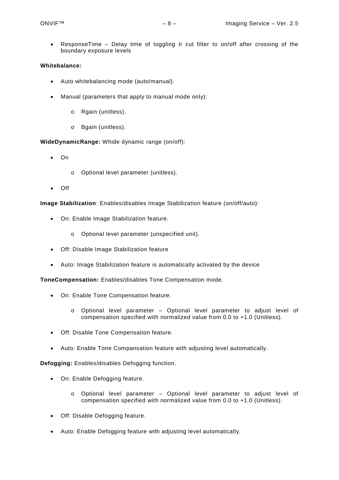• ResponseTime – Delay time of toggling Ir cut filter to on/off after crossing of the boundary exposure levels

## **Whitebalance:**

- Auto whitebalancing mode (auto/manual).
- Manual (parameters that apply to manual mode only):
	- o Rgain (unitless).
	- o Bgain (unitless).

**WideDynamicRange:** Whide dynamic range (on/off):

- On
- o Optional level parameter (unitless).
- Off

**Image Stabilization**: Enables/disables Image Stabilization feature (on/off/auto):

- On: Enable Image Stabilization feature.
	- o Optional level parameter (unspecified unit).
- Off: Disable Image Stabilization feature
- Auto: Image Stabilization feature is automatically activated by the device

**ToneCompensation:** Enables/disables Tone Compensation mode.

- On: Enable Tone Compensation feature.
	- o Optional level parameter Optional level parameter to adjust level of compensation specified with normalized value from 0.0 to +1.0 (Unitless).
- Off: Disable Tone Compensation feature.
- Auto: Enable Tone Compansation feature with adjusting level automatically.

**Defogging:** Enables/disables Defogging function.

- On: Enable Defogging feature.
	- o Optional level parameter Optional level parameter to adjust level of compensation specified with normalized value from 0.0 to +1.0 (Unitless).
- Off: Disable Defogging feature.
- Auto: Enable Defogging feature with adjusting level automatically.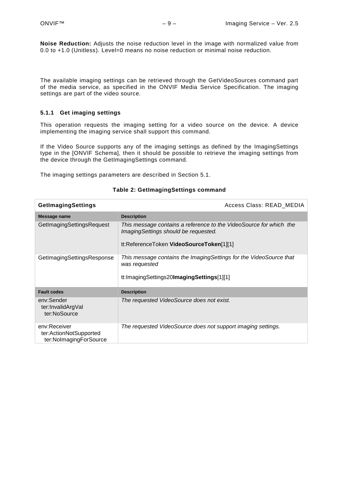**Noise Reduction:** Adjusts the noise reduction level in the image with normalized value from 0.0 to +1.0 (Unitless). Level=0 means no noise reduction or minimal noise reduction.

The available imaging settings can be retrieved through the GetVideoSources command part of the media service, as specified in the ONVIF Media Service Specification. The imaging settings are part of the video source.

## <span id="page-8-0"></span>**5.1.1 Get imaging settings**

This operation requests the imaging setting for a video source on the device. A device implementing the imaging service shall support this command.

If the Video Source supports any of the imaging settings as defined by the ImagingSettings type in the [ONVIF Schema], then it should be possible to retrieve the imaging settings from the device through the GetImagingSettings command.

The imaging settings parameters are described in Section [5.1.](#page-5-1)

## **GetImagingSettings** Access Class: READ\_MEDIA **Message name Description** GetImagingSettingsRequest *This message contains a reference to the VideoSource for which the ImagingSettings should be requested.* tt:ReferenceToken **VideoSourceToken**[1][1] GetImagingSettingsResponse *This message contains the ImagingSettings for the VideoSource that was requested* tt:ImagingSettings20**ImagingSettings**[1][1] **Fault codes Description** env:Sender ter:InvalidArgVal ter:NoSource *The requested VideoSource does not exist.*  env:Receiver ter:ActionNotSupported ter:NoImagingForSource *The requested VideoSource does not support imaging settings.*

#### **Table 2: GetImagingSettings command**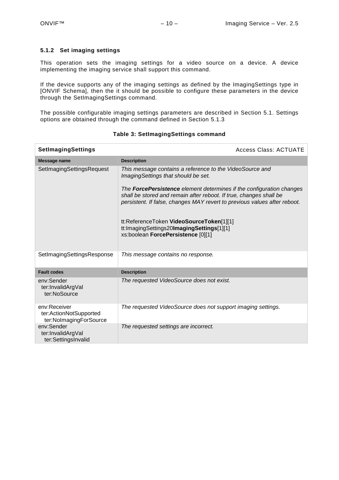## <span id="page-9-0"></span>**5.1.2 Set imaging settings**

This operation sets the imaging settings for a video source on a device. A device implementing the imaging service shall support this command.

If the device supports any of the imaging settings as defined by the ImagingSettings type in [ONVIF Schema], then the it should be possible to configure these parameters in the device through the SetImagingSettings command.

The possible configurable imaging settings parameters are described in Section [5.1.](#page-5-1) Settings options are obtained through the command defined in Section [5.1.3](#page-10-0)

| <b>SetImagingSettings</b>                                        | <b>Access Class: ACTUATE</b>                                                                                                                                                                                                                                                                                                                                                                                                                                     |
|------------------------------------------------------------------|------------------------------------------------------------------------------------------------------------------------------------------------------------------------------------------------------------------------------------------------------------------------------------------------------------------------------------------------------------------------------------------------------------------------------------------------------------------|
| Message name                                                     | <b>Description</b>                                                                                                                                                                                                                                                                                                                                                                                                                                               |
| SetImagingSettingsRequest                                        | This message contains a reference to the VideoSource and<br>ImagingSettings that should be set.<br>The <b>ForcePersistence</b> element determines if the configuration changes<br>shall be stored and remain after reboot. If true, changes shall be<br>persistent. If false, changes MAY revert to previous values after reboot.<br>tt:ReferenceToken VideoSourceToken[1][1]<br>tt:ImagingSettings20ImagingSettings[1][1]<br>xs:boolean ForcePersistence [0][1] |
| SetImagingSettingsResponse                                       | This message contains no response.                                                                                                                                                                                                                                                                                                                                                                                                                               |
| <b>Fault codes</b>                                               | <b>Description</b>                                                                                                                                                                                                                                                                                                                                                                                                                                               |
| env:Sender<br>ter:InvalidArgVal<br>ter:NoSource                  | The requested VideoSource does not exist.                                                                                                                                                                                                                                                                                                                                                                                                                        |
| env:Receiver<br>ter:ActionNotSupported<br>ter:NolmagingForSource | The requested VideoSource does not support imaging settings.                                                                                                                                                                                                                                                                                                                                                                                                     |
| env:Sender<br>ter:InvalidArgVal<br>ter:SettingsInvalid           | The requested settings are incorrect.                                                                                                                                                                                                                                                                                                                                                                                                                            |

## **Table 3: SetImagingSettings command**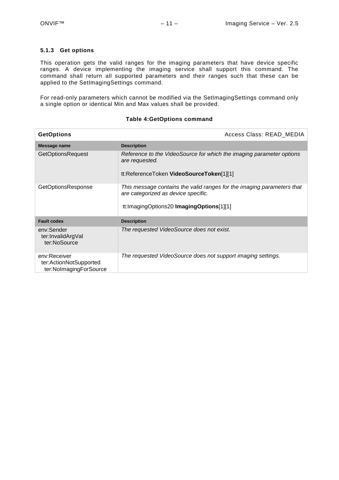## <span id="page-10-0"></span>**5.1.3 Get options**

This operation gets the valid ranges for the imaging parameters that have device specific ranges. A device implementing the imaging service shall support this command. The command shall return all supported parameters and their ranges such that these can be applied to the SetImagingSettings command.

For read-only parameters which cannot be modified via the SetImagingSettings command only a single option or identical Min and Max values shall be provided.

## **Table 4:GetOptions command**

| <b>GetOptions</b>                                                | Access Class: READ MEDIA                                                                                                                                  |
|------------------------------------------------------------------|-----------------------------------------------------------------------------------------------------------------------------------------------------------|
| <b>Message name</b>                                              | <b>Description</b>                                                                                                                                        |
| <b>GetOptionsRequest</b>                                         | Reference to the VideoSource for which the imaging parameter options<br>are requested.<br>tt:ReferenceToken VideoSourceToken[1][1]                        |
| <b>GetOptionsResponse</b>                                        | This message contains the valid ranges for the imaging parameters that<br>are categorized as device specific.<br>tt:ImagingOptions20 ImagingOptions[1][1] |
| <b>Fault codes</b>                                               | <b>Description</b>                                                                                                                                        |
| env:Sender<br>ter:InvalidArgVal<br>ter:NoSource                  | The requested VideoSource does not exist.                                                                                                                 |
| env:Receiver<br>ter:ActionNotSupported<br>ter:NolmagingForSource | The requested VideoSource does not support imaging settings.                                                                                              |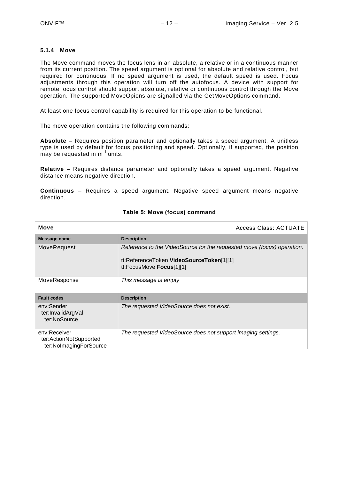#### <span id="page-11-0"></span>**5.1.4 Move**

The Move command moves the focus lens in an absolute, a relative or in a continuous manner from its current position. The speed argument is optional for absolute and relative control, but required for continuous. If no speed argument is used, the default speed is used. Focus adjustments through this operation will turn off the autofocus. A device with support for remote focus control should support absolute, relative or continuous control through the Move operation. The supported MoveOpions are signalled via the GetMoveOptions command.

At least one focus control capability is required for this operation to be functional.

The move operation contains the following commands:

**Absolute** – Requires position parameter and optionally takes a speed argument. A unitless type is used by default for focus positioning and speed. Optionally, if supported, the position may be requested in  $m^{-1}$  units.

**Relative** – Requires distance parameter and optionally takes a speed argument. Negative distance means negative direction.

**Continuous** – Requires a speed argument. Negative speed argument means negative direction.

| Move                                                             | <b>Access Class: ACTUATE</b>                                                                                                                   |
|------------------------------------------------------------------|------------------------------------------------------------------------------------------------------------------------------------------------|
| Message name                                                     | <b>Description</b>                                                                                                                             |
| MoveRequest                                                      | Reference to the VideoSource for the requested move (focus) operation.<br>tt:ReferenceToken VideoSourceToken[1][1]<br>tt:FocusMove Focus[1][1] |
| MoveResponse                                                     | This message is empty                                                                                                                          |
| <b>Fault codes</b>                                               | <b>Description</b>                                                                                                                             |
| env:Sender<br>ter:InvalidArgVal<br>ter:NoSource                  | The requested VideoSource does not exist.                                                                                                      |
| env:Receiver<br>ter:ActionNotSupported<br>ter:NolmagingForSource | The requested VideoSource does not support imaging settings.                                                                                   |

#### **Table 5: Move (focus) command**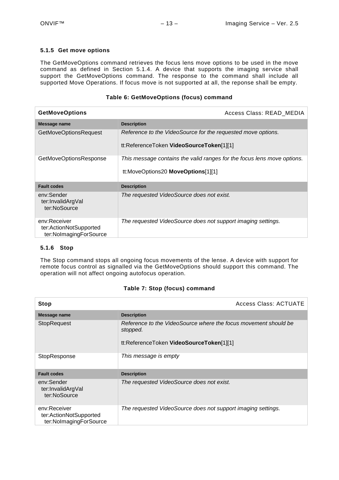## <span id="page-12-0"></span>**5.1.5 Get move options**

The GetMoveOptions command retrieves the focus lens move options to be used in the move command as defined in Section [5.1.4.](#page-11-0) A device that supports the imaging service shall support the GetMoveOptions command. The response to the command shall include all supported Move Operations. If focus move is not supported at all, the reponse shall be empty.

## **Table 6: GetMoveOptions (focus) command**

| <b>GetMoveOptions</b>                                            | Access Class: READ_MEDIA                                                |
|------------------------------------------------------------------|-------------------------------------------------------------------------|
| Message name                                                     | <b>Description</b>                                                      |
| <b>GetMoveOptionsRequest</b>                                     | Reference to the VideoSource for the requested move options.            |
|                                                                  | tt:ReferenceToken VideoSourceToken[1][1]                                |
| GetMoveOptionsResponse                                           | This message contains the valid ranges for the focus lens move options. |
|                                                                  | tt:MoveOptions20 MoveOptions[1][1]                                      |
| <b>Fault codes</b>                                               | <b>Description</b>                                                      |
| env:Sender<br>ter:InvalidArgVal<br>ter:NoSource                  | The requested VideoSource does not exist.                               |
| env:Receiver<br>ter:ActionNotSupported<br>ter:NolmagingForSource | The requested VideoSource does not support imaging settings.            |

## <span id="page-12-1"></span>**5.1.6 Stop**

The Stop command stops all ongoing focus movements of the lense. A device with support for remote focus control as signalled via the GetMoveOptions should support this command. The operation will not affect ongoing autofocus operation.

## **Table 7: Stop (focus) command**

| <b>Stop</b>                                                      | <b>Access Class: ACTUATE</b>                                                                                            |
|------------------------------------------------------------------|-------------------------------------------------------------------------------------------------------------------------|
| Message name                                                     | <b>Description</b>                                                                                                      |
| <b>StopRequest</b>                                               | Reference to the VideoSource where the focus movement should be<br>stopped.<br>tt:ReferenceToken VideoSourceToken[1][1] |
| StopResponse                                                     | This message is empty                                                                                                   |
| <b>Fault codes</b>                                               | <b>Description</b>                                                                                                      |
| env:Sender<br>ter:InvalidArgVal<br>ter:NoSource                  | The requested VideoSource does not exist.                                                                               |
| env:Receiver<br>ter:ActionNotSupported<br>ter:NolmagingForSource | The requested VideoSource does not support imaging settings.                                                            |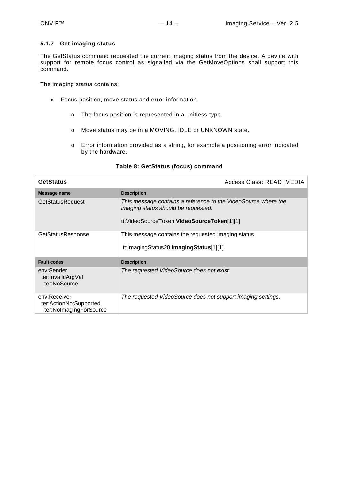## <span id="page-13-0"></span>**5.1.7 Get imaging status**

The GetStatus command requested the current imaging status from the device. A device with support for remote focus control as signalled via the GetMoveOptions shall support this command.

The imaging status contains:

- Focus position, move status and error information.
	- o The focus position is represented in a unitless type.
	- o Move status may be in a MOVING, IDLE or UNKNOWN state.
	- o Error information provided as a string, for example a positioning error indicated by the hardware.

| <b>GetStatus</b>                                                 | Access Class: READ MEDIA                                                                                                                            |
|------------------------------------------------------------------|-----------------------------------------------------------------------------------------------------------------------------------------------------|
| Message name                                                     | <b>Description</b>                                                                                                                                  |
| <b>GetStatusRequest</b>                                          | This message contains a reference to the VideoSource where the<br>imaging status should be requested.<br>tt:VideoSourceToken VideoSourceToken[1][1] |
| GetStatusResponse                                                | This message contains the requested imaging status.<br>tt:ImagingStatus20 ImagingStatus[1][1]                                                       |
| <b>Fault codes</b>                                               | <b>Description</b>                                                                                                                                  |
| env:Sender<br>ter:InvalidArgVal<br>ter:NoSource                  | The requested VideoSource does not exist.                                                                                                           |
| env:Receiver<br>ter:ActionNotSupported<br>ter:NolmagingForSource | The requested VideoSource does not support imaging settings.                                                                                        |

## **Table 8: GetStatus (focus) command**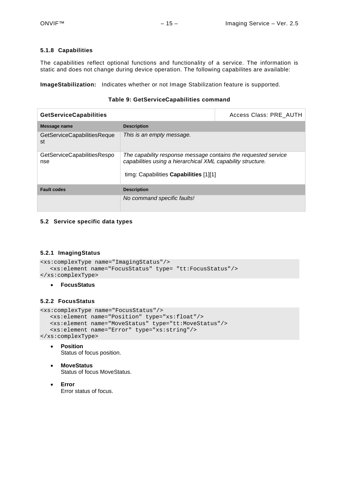## <span id="page-14-0"></span>**5.1.8 Capabilities**

The capabilities reflect optional functions and functionality of a service. The information is static and does not change during device operation. The following capabilites are available:

**ImageStabilization:** Indicates whether or not Image Stabilization feature is supported.

#### **Table 9: GetServiceCapabilities command**

| <b>GetServiceCapabilities</b>                                  | Access Class: PRE_AUTH                                                                                                                                                  |  |
|----------------------------------------------------------------|-------------------------------------------------------------------------------------------------------------------------------------------------------------------------|--|
| Message name                                                   | <b>Description</b>                                                                                                                                                      |  |
| GetServiceCapabilitiesReque<br>This is an empty message.<br>st |                                                                                                                                                                         |  |
| GetServiceCapabilitiesRespo<br>nse                             | The capability response message contains the requested service<br>capabilities using a hierarchical XML capability structure.<br>timg: Capabilities Capabilities [1][1] |  |
| <b>Fault codes</b>                                             | <b>Description</b>                                                                                                                                                      |  |
|                                                                | No command specific faults!                                                                                                                                             |  |

## <span id="page-14-1"></span>**5.2 Service specific data types**

## <span id="page-14-2"></span>**5.2.1 ImagingStatus**

```
<xs:complexType name="ImagingStatus"/>
  <xs:element name="FocusStatus" type= "tt:FocusStatus"/>
</xs:complexType>
```
• **FocusStatus**

## <span id="page-14-3"></span>**5.2.2 FocusStatus**

```
<xs:complexType name="FocusStatus"/>
  <xs:element name="Position" type="xs:float"/>
  <xs:element name="MoveStatus" type="tt:MoveStatus"/>
   <xs:element name="Error" type="xs:string"/>
</xs:complexType>
```
• **Position**

Status of focus position.

- **MoveStatus** Status of focus MoveStatus.
- **Error** Error status of focus.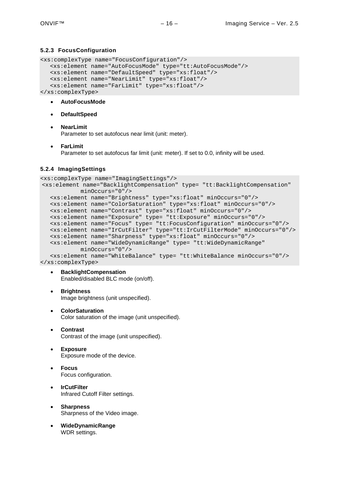## <span id="page-15-0"></span>**5.2.3 FocusConfiguration**

```
<xs:complexType name="FocusConfiguration"/>
  <xs:element name="AutoFocusMode" type="tt:AutoFocusMode"/>
  <xs:element name="DefaultSpeed" type="xs:float"/>
  <xs:element name="NearLimit" type="xs:float"/>
  <xs:element name="FarLimit" type="xs:float"/>
</xs:complexType>
```
## • **AutoFocusMode**

- **DefaultSpeed**
- **NearLimit**

Parameter to set autofocus near limit (unit: meter).

• **FarLimit**

Parameter to set autofocus far limit (unit: meter). If set to 0.0, infinity will be used.

## <span id="page-15-1"></span>**5.2.4 ImagingSettings**

```
<xs:complexType name="ImagingSettings"/>
<xs:element name="BacklightCompensation" type= "tt:BacklightCompensation"
           minOccurs="0"/>
  <xs:element name="Brightness" type="xs:float" minOccurs="0"/>
  <xs:element name="ColorSaturation" type="xs:float" minOccurs="0"/>
  <xs:element name="Contrast" type="xs:float" minOccurs="0"/>
  <xs:element name="Exposure" type= "tt:Exposure" minOccurs="0"/>
  <xs:element name="Focus" type= "tt:FocusConfiguration" minOccurs="0"/>
  <xs:element name="IrCutFilter" type="tt:IrCutFilterMode" minOccurs="0"/>
  <xs:element name="Sharpness" type="xs:float" minOccurs="0"/>
  <xs:element name="WideDynamicRange" type= "tt:WideDynamicRange"
           minOccurs="0"/>
  <xs:element name="WhiteBalance" type= "tt:WhiteBalance minOccurs="0"/>
```
</xs:complexType>

- **BacklightCompensation** Enabled/disabled BLC mode (on/off).
- **Brightness** Image brightness (unit unspecified).
- **ColorSaturation** Color saturation of the image (unit unspecified).
- **Contrast** Contrast of the image (unit unspecified).
- **Exposure** Exposure mode of the device.
- **Focus** Focus configuration.
- **IrCutFilter** Infrared Cutoff Filter settings.
- **Sharpness** Sharpness of the Video image.
- **WideDynamicRange** WDR settings.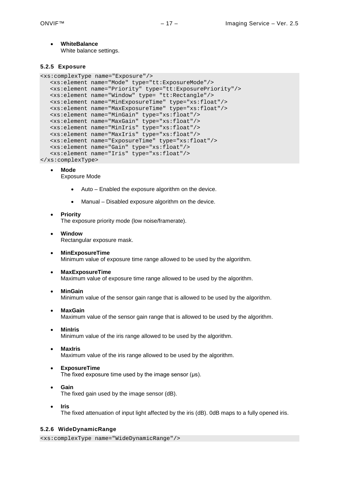• **WhiteBalance** White balance settings.

#### <span id="page-16-0"></span>**5.2.5 Exposure**

```
<xs:complexType name="Exposure"/>
  <xs:element name="Mode" type="tt:ExposureMode"/>
  <xs:element name="Priority" type="tt:ExposurePriority"/>
  <xs:element name="Window" type= "tt:Rectangle"/>
  <xs:element name="MinExposureTime" type="xs:float"/>
  <xs:element name="MaxExposureTime" type="xs:float"/>
  <xs:element name="MinGain" type="xs:float"/>
  <xs:element name="MaxGain" type="xs:float"/>
  <xs:element name="MinIris" type="xs:float"/>
  <xs:element name="MaxIris" type="xs:float"/>
  <xs:element name="ExposureTime" type="xs:float"/>
  <xs:element name="Gain" type="xs:float"/>
  <xs:element name="Iris" type="xs:float"/>
</xs:complexType>
```
• **Mode**

Exposure Mode

- Auto Enabled the exposure algorithm on the device.
- Manual Disabled exposure algorithm on the device.
- **Priority**

The exposure priority mode (low noise/framerate).

- **Window** Rectangular exposure mask.
- **MinExposureTime** Minimum value of exposure time range allowed to be used by the algorithm.
- **MaxExposureTime**
	- Maximum value of exposure time range allowed to be used by the algorithm.
- **MinGain** Minimum value of the sensor gain range that is allowed to be used by the algorithm.
- **MaxGain** Maximum value of the sensor gain range that is allowed to be used by the algorithm.
- **MinIris** Minimum value of the iris range allowed to be used by the algorithm.
- **MaxIris** Maximum value of the iris range allowed to be used by the algorithm.
- **ExposureTime** The fixed exposure time used by the image sensor (μs).
- **Gain** The fixed gain used by the image sensor (dB).
- **Iris** The fixed attenuation of input light affected by the iris (dB). 0dB maps to a fully opened iris.

## <span id="page-16-1"></span>**5.2.6 WideDynamicRange**

<xs:complexType name="WideDynamicRange"/>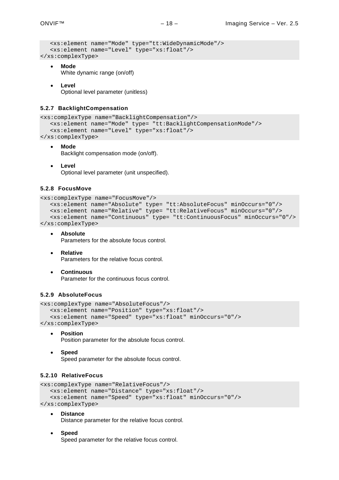```
<xs:element name="Mode" type="tt:WideDynamicMode"/>
  <xs:element name="Level" type="xs:float"/>
</xs:complexType>
```
• **Mode** White dynamic range (on/off)

• **Level**

Optional level parameter (unitless)

## <span id="page-17-0"></span>**5.2.7 BacklightCompensation**

```
<xs:complexType name="BacklightCompensation"/>
  <xs:element name="Mode" type= "tt:BacklightCompensationMode"/>
  <xs:element name="Level" type="xs:float"/>
```

```
</xs:complexType>
```
• **Mode** Backlight compensation mode (on/off).

• **Level** Optional level parameter (unit unspecified).

## <span id="page-17-1"></span>**5.2.8 FocusMove**

```
<xs:complexType name="FocusMove"/>
  <xs:element name="Absolute" type= "tt:AbsoluteFocus" minOccurs="0"/>
  <xs:element name="Relative" type= "tt:RelativeFocus" minOccurs="0"/>
  <xs:element name="Continuous" type= "tt:ContinuousFocus" minOccurs="0"/>
</xs:complexType>
```
- **Absolute** Parameters for the absolute focus control.
- **Relative** Parameters for the relative focus control.
- **Continuous** Parameter for the continuous focus control.

#### <span id="page-17-2"></span>**5.2.9 AbsoluteFocus**

```
<xs:complexType name="AbsoluteFocus"/>
   <xs:element name="Position" type="xs:float"/>
   <xs:element name="Speed" type="xs:float" minOccurs="0"/>
</xs:complexType>
```
• **Position**

Position parameter for the absolute focus control.

• **Speed**

Speed parameter for the absolute focus control.

## <span id="page-17-3"></span>**5.2.10 RelativeFocus**

```
<xs:complexType name="RelativeFocus"/>
  <xs:element name="Distance" type="xs:float"/>
   <xs:element name="Speed" type="xs:float" minOccurs="0"/>
</xs:complexType>
```
• **Distance**

Distance parameter for the relative focus control.

• **Speed** Speed parameter for the relative focus control.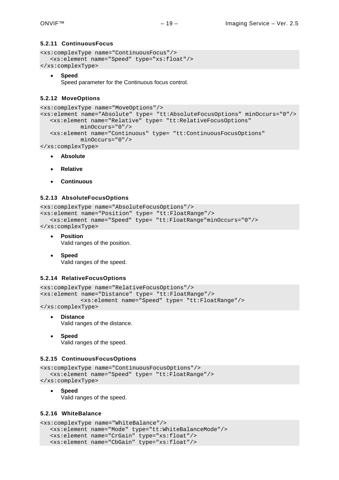#### <span id="page-18-0"></span>**5.2.11 ContinuousFocus**

```
<xs:complexType name="ContinuousFocus"/>
  <xs:element name="Speed" type="xs:float"/>
</xs:complexType>
```
## • **Speed**

Speed parameter for the Continuous focus control.

## <span id="page-18-1"></span>**5.2.12 MoveOptions**

```
<xs:complexType name="MoveOptions"/>
<xs:element name="Absolute" type= "tt:AbsoluteFocusOptions" minOccurs="0"/>
  <xs:element name="Relative" type= "tt:RelativeFocusOptions"
           minOccurs="0"/>
  <xs:element name="Continuous" type= "tt:ContinuousFocusOptions"
           minOccurs="0"/>
```

```
</xs:complexType>
```
- **Absolute**
- **Relative**
- **Continuous**

## <span id="page-18-2"></span>**5.2.13 AbsoluteFocusOptions**

```
<xs:complexType name="AbsoluteFocusOptions"/>
<xs:element name="Position" type= "tt:FloatRange"/>
  <xs:element name="Speed" type= "tt:FloatRange"minOccurs="0"/>
</xs:complexType>
```
• **Position**

Valid ranges of the position.

• **Speed** Valid ranges of the speed.

#### <span id="page-18-3"></span>**5.2.14 RelativeFocusOptions**

```
<xs:complexType name="RelativeFocusOptions"/>
<xs:element name="Distance" type= "tt:FloatRange"/>
           <xs:element name="Speed" type= "tt:FloatRange"/>
</xs:complexType>
```
• **Distance**

Valid ranges of the distance.

• **Speed** Valid ranges of the speed.

#### <span id="page-18-4"></span>**5.2.15 ContinuousFocusOptions**

```
<xs:complexType name="ContinuousFocusOptions"/>
   <xs:element name="Speed" type= "tt:FloatRange"/>
</xs:complexType>
```
• **Speed** Valid ranges of the speed.

## <span id="page-18-5"></span>**5.2.16 WhiteBalance**

```
<xs:complexType name="WhiteBalance"/>
  <xs:element name="Mode" type="tt:WhiteBalanceMode"/>
  <xs:element name="CrGain" type="xs:float"/>
  <xs:element name="CbGain" type="xs:float"/>
```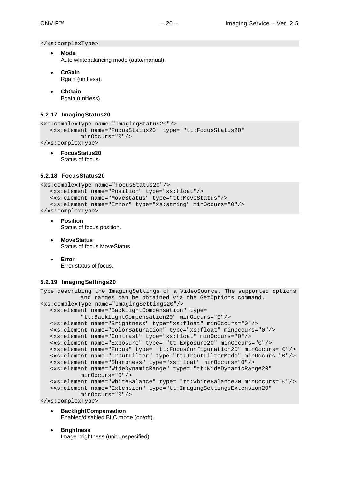</xs:complexType>

- **Mode** Auto whitebalancing mode (auto/manual).
- **CrGain** Rgain (unitless).
- **CbGain** Bgain (unitless).

#### <span id="page-19-0"></span>**5.2.17 ImagingStatus20**

```
<xs:complexType name="ImagingStatus20"/>
  <xs:element name="FocusStatus20" type= "tt:FocusStatus20"
           minOccurs="0"/>
```
</xs:complexType>

• **FocusStatus20** Status of focus.

#### <span id="page-19-1"></span>**5.2.18 FocusStatus20**

```
<xs:complexType name="FocusStatus20"/>
   <xs:element name="Position" type="xs:float"/>
   <xs:element name="MoveStatus" type="tt:MoveStatus"/>
   <xs:element name="Error" type="xs:string" minOccurs="0"/>
</xs:complexType>
```
- **Position** Status of focus position.
- **MoveStatus** Status of focus MoveStatus.
- **Error** Error status of focus.

#### <span id="page-19-2"></span>**5.2.19 ImagingSettings20**

```
Type describing the ImagingSettings of a VideoSource. The supported options 
            and ranges can be obtained via the GetOptions command.
<xs:complexType name="ImagingSettings20"/>
   <xs:element name="BacklightCompensation" type= 
            "tt:BacklightCompensation20" minOccurs="0"/>
  <xs:element name="Brightness" type="xs:float" minOccurs="0"/>
  <xs:element name="ColorSaturation" type="xs:float" minOccurs="0"/>
  <xs:element name="Contrast" type="xs:float" minOccurs="0"/>
  <xs:element name="Exposure" type= "tt:Exposure20" minOccurs="0"/>
  <xs:element name="Focus" type= "tt:FocusConfiguration20" minOccurs="0"/>
  <xs:element name="IrCutFilter" type="tt:IrCutFilterMode" minOccurs="0"/>
  <xs:element name="Sharpness" type="xs:float" minOccurs="0"/>
  <xs:element name="WideDynamicRange" type= "tt:WideDynamicRange20"
           minOccurs="0"/>
  <xs:element name="WhiteBalance" type= "tt:WhiteBalance20 minOccurs="0"/>
  <xs:element name="Extension" type="tt:ImagingSettingsExtension20" 
           minOccurs="0"/>
```
</xs:complexType>

- **BacklightCompensation** Enabled/disabled BLC mode (on/off).
- **Brightness** Image brightness (unit unspecified).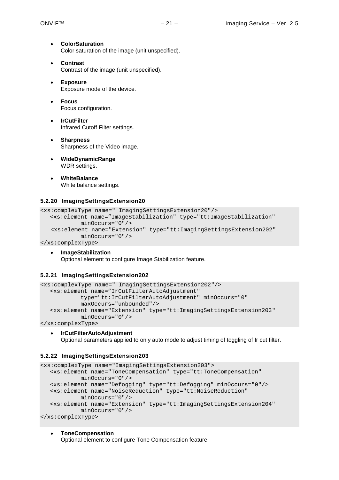- **ColorSaturation** Color saturation of the image (unit unspecified).
- **Contrast** Contrast of the image (unit unspecified).
- **Exposure** Exposure mode of the device.
- **Focus** Focus configuration.
- **IrCutFilter** Infrared Cutoff Filter settings.
- **Sharpness** Sharpness of the Video image.
- **WideDynamicRange** WDR settings.
- **WhiteBalance** White balance settings.

## <span id="page-20-0"></span>**5.2.20 ImagingSettingsExtension20**

```
<xs:complexType name=" ImagingSettingsExtension20"/>
  <xs:element name="ImageStabilization" type="tt:ImageStabilization" 
           minOccurs="0"/>
    <xs:element name="Extension" type="tt:ImagingSettingsExtension202" 
           minOccurs="0"/>
```
- </xs:complexType>
	- **ImageStabilization** Optional element to configure Image Stabilization feature.

## <span id="page-20-1"></span>**5.2.21 ImagingSettingsExtension202**

```
<xs:complexType name=" ImagingSettingsExtension202"/>
  <xs:element name="IrCutFilterAutoAdjustment" 
           type="tt:IrCutFilterAutoAdjustment" minOccurs="0"
           maxOccurs="unbounded"/>
  <xs:element name="Extension" type="tt:ImagingSettingsExtension203" 
           minOccurs="0"/>
```
</xs:complexType>

#### • **IrCutFilterAutoAdjustment** Optional parameters applied to only auto mode to adjust timing of toggling of Ir cut filter.

## <span id="page-20-2"></span>**5.2.22 ImagingSettingsExtension203**

```
<xs:complexType name="ImagingSettingsExtension203">
  <xs:element name="ToneCompensation" type="tt:ToneCompensation" 
           minOccurs="0"/>
  <xs:element name="Defogging" type="tt:Defogging" minOccurs="0"/>
  <xs:element name="NoiseReduction" type="tt:NoiseReduction" 
           minOccurs="0"/>
  <xs:element name="Extension" type="tt:ImagingSettingsExtension204" 
           minOccurs="0"/>
</xs:complexType>
```
• **ToneCompensation** Optional element to configure Tone Compensation feature.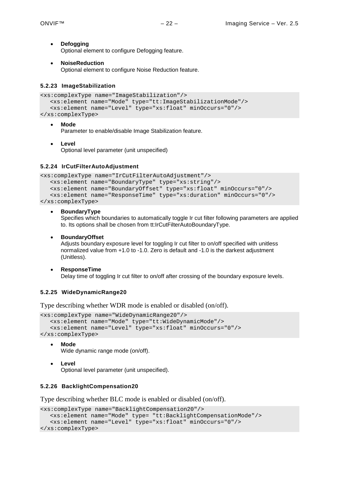- **Defogging** Optional element to configure Defogging feature.
- **NoiseReduction** Optional element to configure Noise Reduction feature.

## <span id="page-21-0"></span>**5.2.23 ImageStabilization**

```
<xs:complexType name="ImageStabilization"/>
  <xs:element name="Mode" type="tt:ImageStabilizationMode"/>
  <xs:element name="Level" type="xs:float" minOccurs="0"/>
</xs:complexType>
```
• **Mode**

Parameter to enable/disable Image Stabilization feature.

• **Level**

Optional level parameter (unit unspecified)

## <span id="page-21-1"></span>**5.2.24 IrCutFilterAutoAdjustment**

```
<xs:complexType name="IrCutFilterAutoAdjustment"/>
   <xs:element name="BoundaryType" type="xs:string"/>
   <xs:element name="BoundaryOffset" type="xs:float" minOccurs="0"/>
   <xs:element name="ResponseTime" type="xs:duration" minOccurs="0"/>
</xs:complexType>
```
## • **BoundaryType**

Specifies which boundaries to automatically toggle Ir cut filter following parameters are applied to. Its options shall be chosen from tt:IrCutFilterAutoBoundaryType.

## • **BoundaryOffset**

Adjusts boundary exposure level for toggling Ir cut filter to on/off specified with unitless normalized value from +1.0 to -1.0. Zero is default and -1.0 is the darkest adjustment (Unitless).

• **ResponseTime** Delay time of toggling Ir cut filter to on/off after crossing of the boundary exposure levels.

## <span id="page-21-2"></span>**5.2.25 WideDynamicRange20**

Type describing whether WDR mode is enabled or disabled (on/off).

```
<xs:complexType name="WideDynamicRange20"/>
  <xs:element name="Mode" type="tt:WideDynamicMode"/>
  <xs:element name="Level" type="xs:float" minOccurs="0"/>
</xs:complexType>
```
• **Mode**

Wide dynamic range mode (on/off).

• **Level**

Optional level parameter (unit unspecified).

## <span id="page-21-3"></span>**5.2.26 BacklightCompensation20**

Type describing whether BLC mode is enabled or disabled (on/off).

```
<xs:complexType name="BacklightCompensation20"/>
   <xs:element name="Mode" type= "tt:BacklightCompensationMode"/>
   <xs:element name="Level" type="xs:float" minOccurs="0"/>
</xs:complexType>
```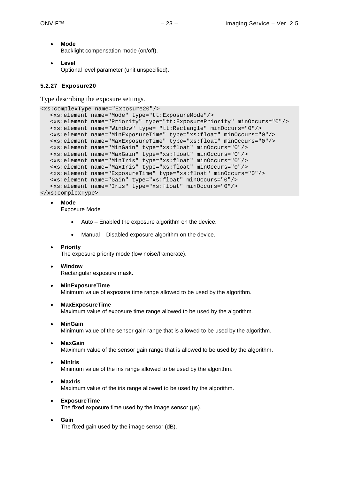- **Mode** Backlight compensation mode (on/off).
- **Level** Optional level parameter (unit unspecified).

## <span id="page-22-0"></span>**5.2.27 Exposure20**

Type describing the exposure settings.

```
<xs:complexType name="Exposure20"/>
  <xs:element name="Mode" type="tt:ExposureMode"/>
  <xs:element name="Priority" type="tt:ExposurePriority" minOccurs="0"/>
  <xs:element name="Window" type= "tt:Rectangle" minOccurs="0"/>
  <xs:element name="MinExposureTime" type="xs:float" minOccurs="0"/>
  <xs:element name="MaxExposureTime" type="xs:float" minOccurs="0"/>
  <xs:element name="MinGain" type="xs:float" minOccurs="0"/>
  <xs:element name="MaxGain" type="xs:float" minOccurs="0"/>
  <xs:element name="MinIris" type="xs:float" minOccurs="0"/>
  <xs:element name="MaxIris" type="xs:float" minOccurs="0"/>
  <xs:element name="ExposureTime" type="xs:float" minOccurs="0"/>
  <xs:element name="Gain" type="xs:float" minOccurs="0"/>
  <xs:element name="Iris" type="xs:float" minOccurs="0"/>
</xs:complexType>
```
• **Mode**

Exposure Mode

- Auto Enabled the exposure algorithm on the device.
- Manual Disabled exposure algorithm on the device.

## • **Priority**

The exposure priority mode (low noise/framerate).

- **Window** Rectangular exposure mask.
- **MinExposureTime** Minimum value of exposure time range allowed to be used by the algorithm.
- **MaxExposureTime** Maximum value of exposure time range allowed to be used by the algorithm.
- **MinGain** Minimum value of the sensor gain range that is allowed to be used by the algorithm.
- **MaxGain** Maximum value of the sensor gain range that is allowed to be used by the algorithm.
- **MinIris** Minimum value of the iris range allowed to be used by the algorithm.
- **MaxIris** Maximum value of the iris range allowed to be used by the algorithm.
- **ExposureTime**

The fixed exposure time used by the image sensor (μs).

• **Gain**

The fixed gain used by the image sensor (dB).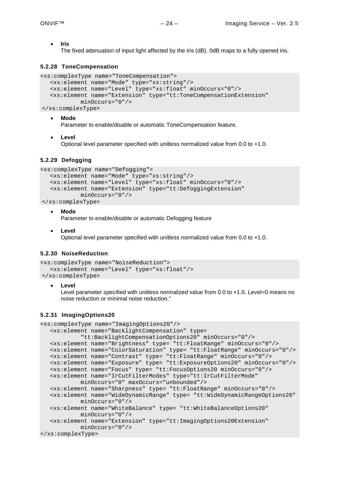• **Iris**

The fixed attenuation of input light affected by the iris (dB). 0dB maps to a fully opened iris.

## <span id="page-23-0"></span>**5.2.28 ToneCompensation**

```
<xs:complexType name="ToneCompensation">
  <xs:element name="Mode" type="xs:string"/>
  <xs:element name="Level" type="xs:float" minOccurs="0"/>
  <xs:element name="Extension" type="tt:ToneCompensationExtension" 
           minOccurs="0"/>
</xs:complexType>
```
## • **Mode**

Parameter to enable/disable or automatic ToneCompensation feature.

#### • **Level**

Optional level parameter specified with unitless normalized value from 0.0 to +1.0.

## <span id="page-23-1"></span>**5.2.29 Defogging**

```
<xs:complexType name="Defogging">
  <xs:element name="Mode" type="xs:string"/>
  <xs:element name="Level" type="xs:float" minOccurs="0"/>
  <xs:element name="Extension" type="tt:DefoggingExtension" 
           minOccurs="0"/>
```
</xs:complexType>

#### • **Mode** Parameter to enable/disable or automatic Defogging feature

• **Level** Optional level parameter specified with unitless normalized value from 0.0 to +1.0.

## <span id="page-23-2"></span>**5.2.30 NoiseReduction**

```
<xs:complexType name="NoiseReduction">
  <xs:element name="Level" type="xs:float"/>
</xs:complexType>
```
• **Level**

Level parameter specified with unitless normalized value from 0.0 to +1.0. Level=0 means no noise reduction or minimal noise reduction."

## <span id="page-23-3"></span>**5.2.31 ImagingOptions20**

```
<xs:complexType name="ImagingOptions20"/>
  <xs:element name="BacklightCompensation" type= 
           "tt:BacklightCompensationOptions20" minOccurs="0"/>
  <xs:element name="Brightness" type= "tt:FloatRange" minOccurs="0"/>
  <xs:element name="ColorSaturation" type= "tt:FloatRange" minOccurs="0"/>
  <xs:element name="Contrast" type= "tt:FloatRange" minOccurs="0"/>
  <xs:element name="Exposure" type= "tt:ExposureOptions20" minOccurs="0"/>
  <xs:element name="Focus" type= "tt:FocusOptions20 minOccurs="0"/>
  <xs:element name="IrCutFilterModes" type="tt:IrCutFilterMode" 
           minOccurs="0" maxOccurs="unbounded"/>
  <xs:element name="Sharpness" type= "tt:FloatRange" minOccurs="0"/>
  <xs:element name="WideDynamicRange" type= "tt:WideDynamicRangeOptions20"
           minOccurs="0"/>
  <xs:element name="WhiteBalance" type= "tt:WhiteBalanceOptions20"
           minOccurs="0"/>
  <xs:element name="Extension" type="tt:ImagingOptions20Extension" 
           minOccurs="0"/>
```

```
</xs:complexType>
```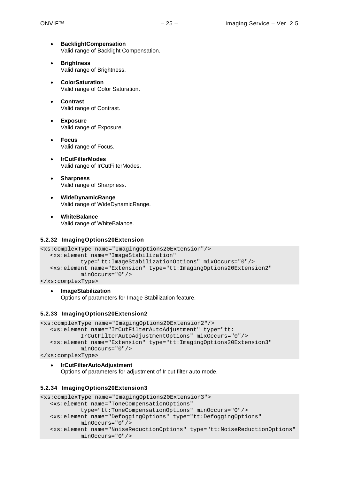- **BacklightCompensation** Valid range of Backlight Compensation.
- **Brightness** Valid range of Brightness.
- **ColorSaturation** Valid range of Color Saturation.
- **Contrast** Valid range of Contrast.
- **Exposure** Valid range of Exposure.
- **Focus** Valid range of Focus.
- **IrCutFilterModes** Valid range of IrCutFilterModes.
- **Sharpness** Valid range of Sharpness.
- **WideDynamicRange** Valid range of WideDynamicRange.
- **WhiteBalance** Valid range of WhiteBalance.

## <span id="page-24-0"></span>**5.2.32 ImagingOptions20Extension**

```
<xs:complexType name="ImagingOptions20Extension"/>
  <xs:element name="ImageStabilization" 
           type="tt:ImageStabilizationOptions" mixOccurs="0"/>
  <xs:element name="Extension" type="tt:ImagingOptions20Extension2" 
           minOccurs="0"/>
</xs:complexType>
```
• **ImageStabilization** Options of parameters for Image Stabilization feature.

## <span id="page-24-1"></span>**5.2.33 ImagingOptions20Extension2**

```
<xs:complexType name="ImagingOptions20Extension2"/>
  <xs:element name="IrCutFilterAutoAdjustment" type="tt:
           IrCutFilterAutoAdjustmentOptions" mixOccurs="0"/>
  <xs:element name="Extension" type="tt:ImagingOptions20Extension3" 
           minOccurs="0"/>
```
</xs:complexType>

• **IrCutFilterAutoAdjustment** Options of parameters for adjustment of Ir cut filter auto mode.

#### <span id="page-24-2"></span>**5.2.34 ImagingOptions20Extension3**

```
<xs:complexType name="ImagingOptions20Extension3">
  <xs:element name="ToneCompensationOptions" 
           type="tt:ToneCompensationOptions" minOccurs="0"/>
  <xs:element name="DefoggingOptions" type="tt:DefoggingOptions" 
           minOccurs="0"/>
  <xs:element name="NoiseReductionOptions" type="tt:NoiseReductionOptions" 
           minOccurs="0"/>
```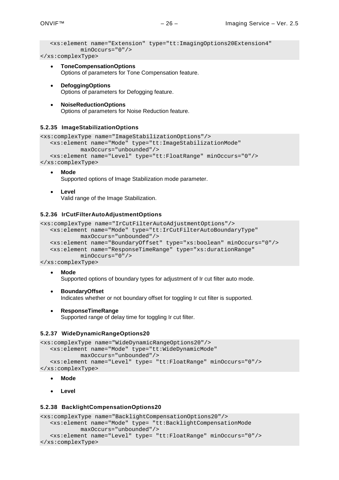```
<xs:element name="Extension" type="tt:ImagingOptions20Extension4" 
        minOccurs="0"/>
```
</xs:complexType>

- **ToneCompensationOptions** Options of parameters for Tone Compensation feature.
- **DefoggingOptions** Options of parameters for Defogging feature.
- **NoiseReductionOptions** Options of parameters for Noise Reduction feature.

#### <span id="page-25-0"></span>**5.2.35 ImageStabilizationOptions**

```
<xs:complexType name="ImageStabilizationOptions"/>
  <xs:element name="Mode" type="tt:ImageStabilizationMode" 
            maxOccurs="unbounded"/>
  <xs:element name="Level" type="tt:FloatRange" minOccurs="0"/>
</xs:complexType>
```
## • **Mode**

Supported options of Image Stabilization mode parameter.

• **Level**

Valid range of the Image Stabilization.

## <span id="page-25-1"></span>**5.2.36 IrCutFilterAutoAdjustmentOptions**

```
<xs:complexType name="IrCutFilterAutoAdjustmentOptions"/>
  <xs:element name="Mode" type="tt:IrCutFilterAutoBoundaryType" 
           maxOccurs="unbounded"/>
  <xs:element name="BoundaryOffset" type="xs:boolean" minOccurs="0"/>
  <xs:element name="ResponseTimeRange" type="xs:durationRange" 
           minOccurs="0"/>
```
## </xs:complexType>

#### • **Mode**

Supported options of boundary types for adjustment of Ir cut filter auto mode.

- **BoundaryOffset** Indicates whether or not boundary offset for toggling Ir cut filter is supported.
- **ResponseTimeRange**

Supported range of delay time for toggling Ir cut filter.

#### <span id="page-25-2"></span>**5.2.37 WideDynamicRangeOptions20**

```
<xs:complexType name="WideDynamicRangeOptions20"/>
  <xs:element name="Mode" type="tt:WideDynamicMode" 
           maxOccurs="unbounded"/>
  <xs:element name="Level" type= "tt:FloatRange" minOccurs="0"/>
</xs:complexType>
```
- **Mode**
- **Level**

#### <span id="page-25-3"></span>**5.2.38 BacklightCompensationOptions20**

```
<xs:complexType name="BacklightCompensationOptions20"/>
  <xs:element name="Mode" type= "tt:BacklightCompensationMode
           maxOccurs="unbounded"/>
  <xs:element name="Level" type= "tt:FloatRange" minOccurs="0"/>
</xs:complexType>
```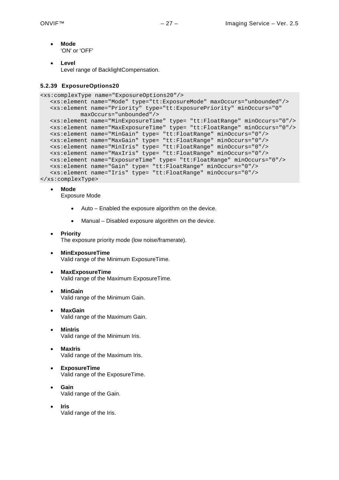- **Mode** 'ON' or 'OFF'
- **Level** Level range of BacklightCompensation.

## <span id="page-26-0"></span>**5.2.39 ExposureOptions20**

```
<xs:complexType name="ExposureOptions20"/>
  <xs:element name="Mode" type="tt:ExposureMode" maxOccurs="unbounded"/>
  <xs:element name="Priority" type="tt:ExposurePriority" minOccurs="0" 
           maxOccurs="unbounded"/>
  <xs:element name="MinExposureTime" type= "tt:FloatRange" minOccurs="0"/>
  <xs:element name="MaxExposureTime" type= "tt:FloatRange" minOccurs="0"/>
  <xs:element name="MinGain" type= "tt:FloatRange" minOccurs="0"/>
  <xs:element name="MaxGain" type= "tt:FloatRange" minOccurs="0"/>
  <xs:element name="MinIris" type= "tt:FloatRange" minOccurs="0"/>
  <xs:element name="MaxIris" type= "tt:FloatRange" minOccurs="0"/>
  <xs:element name="ExposureTime" type= "tt:FloatRange" minOccurs="0"/>
  <xs:element name="Gain" type= "tt:FloatRange" minOccurs="0"/>
  <xs:element name="Iris" type= "tt:FloatRange" minOccurs="0"/>
</xs:complexType>
```
• **Mode**

Exposure Mode

- Auto Enabled the exposure algorithm on the device.
- Manual Disabled exposure algorithm on the device.
- **Priority** The exposure priority mode (low noise/framerate).
- **MinExposureTime** Valid range of the Minimum ExposureTime.
- **MaxExposureTime** Valid range of the Maximum ExposureTime.
- **MinGain** Valid range of the Minimum Gain.
- **MaxGain** Valid range of the Maximum Gain.
- **MinIris** Valid range of the Minimum Iris.
- **MaxIris** Valid range of the Maximum Iris.
- **ExposureTime** Valid range of the ExposureTime.
- **Gain** Valid range of the Gain.
- **Iris** Valid range of the Iris.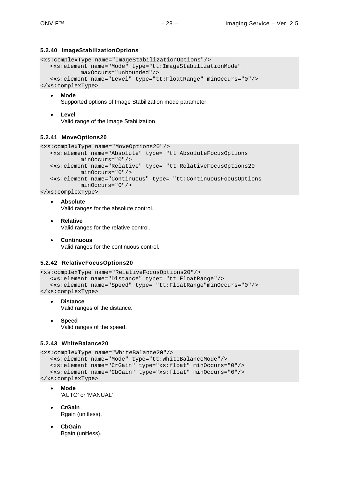## <span id="page-27-0"></span>**5.2.40 ImageStabilizationOptions**

```
<xs:complexType name="ImageStabilizationOptions"/>
  <xs:element name="Mode" type="tt:ImageStabilizationMode" 
            maxOccurs="unbounded"/>
  <xs:element name="Level" type="tt:FloatRange" minOccurs="0"/>
</xs:complexType>
```
#### • **Mode**

Supported options of Image Stabilization mode parameter.

• **Level**

Valid range of the Image Stabilization.

## <span id="page-27-1"></span>**5.2.41 MoveOptions20**

```
<xs:complexType name="MoveOptions20"/>
  <xs:element name="Absolute" type= "tt:AbsoluteFocusOptions
           minOccurs="0"/>
  <xs:element name="Relative" type= "tt:RelativeFocusOptions20
           minOccurs="0"/>
  <xs:element name="Continuous" type= "tt:ContinuousFocusOptions
           minOccurs="0"/>
```
</xs:complexType>

- **Absolute** Valid ranges for the absolute control.
- **Relative** Valid ranges for the relative control.
- **Continuous** Valid ranges for the continuous control.

## <span id="page-27-2"></span>**5.2.42 RelativeFocusOptions20**

```
<xs:complexType name="RelativeFocusOptions20"/>
  <xs:element name="Distance" type= "tt:FloatRange"/>
   <xs:element name="Speed" type= "tt:FloatRange"minOccurs="0"/>
</xs:complexType>
```
- **Distance** Valid ranges of the distance.
- **Speed** Valid ranges of the speed.

## <span id="page-27-3"></span>**5.2.43 WhiteBalance20**

```
<xs:complexType name="WhiteBalance20"/>
  <xs:element name="Mode" type="tt:WhiteBalanceMode"/>
  <xs:element name="CrGain" type="xs:float" minOccurs="0"/>
  <xs:element name="CbGain" type="xs:float" minOccurs="0"/>
</xs:complexType>
```
- **Mode** 'AUTO' or 'MANUAL'
- **CrGain** Rgain (unitless).
- **CbGain** Bgain (unitless).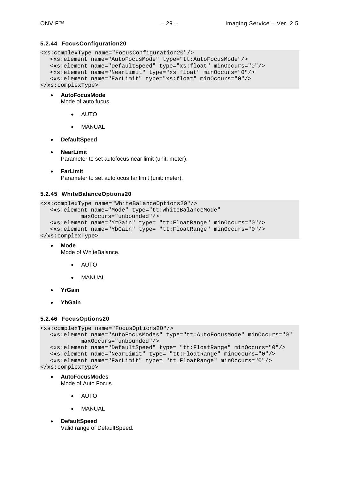#### <span id="page-28-0"></span>**5.2.44 FocusConfiguration20**

```
<xs:complexType name="FocusConfiguration20"/>
  <xs:element name="AutoFocusMode" type="tt:AutoFocusMode"/>
  <xs:element name="DefaultSpeed" type="xs:float" minOccurs="0"/>
  <xs:element name="NearLimit" type="xs:float" minOccurs="0"/>
  <xs:element name="FarLimit" type="xs:float" minOccurs="0"/>
</xs:complexType>
```
• **AutoFocusMode**

Mode of auto fucus.

- AUTO
- MANUAL
- **DefaultSpeed**

#### • **NearLimit**

Parameter to set autofocus near limit (unit: meter).

• **FarLimit**

Parameter to set autofocus far limit (unit: meter).

## <span id="page-28-1"></span>**5.2.45 WhiteBalanceOptions20**

```
<xs:complexType name="WhiteBalanceOptions20"/>
  <xs:element name="Mode" type="tt:WhiteBalanceMode" 
           maxOccurs="unbounded"/>
  <xs:element name="YrGain" type= "tt:FloatRange" minOccurs="0"/>
   <xs:element name="YbGain" type= "tt:FloatRange" minOccurs="0"/>
</xs:complexType>
```
• **Mode**

Mode of WhiteBalance.

- AUTO
- MANUAL
- **YrGain**
- **YbGain**

#### <span id="page-28-2"></span>**5.2.46 FocusOptions20**

```
<xs:complexType name="FocusOptions20"/>
  <xs:element name="AutoFocusModes" type="tt:AutoFocusMode" minOccurs="0" 
           maxOccurs="unbounded"/>
  <xs:element name="DefaultSpeed" type= "tt:FloatRange" minOccurs="0"/>
  <xs:element name="NearLimit" type= "tt:FloatRange" minOccurs="0"/>
  <xs:element name="FarLimit" type= "tt:FloatRange" minOccurs="0"/>
</xs:complexType>
```
• **AutoFocusModes**

Mode of Auto Focus.

- AUTO
- MANUAL
- **DefaultSpeed** Valid range of DefaultSpeed.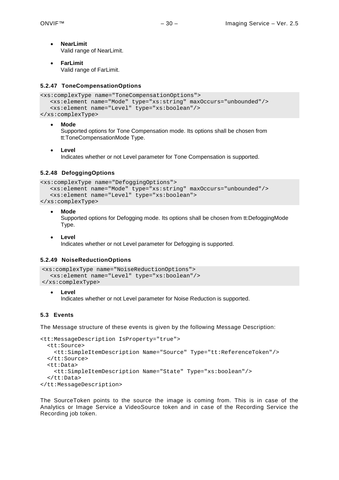- **NearLimit** Valid range of NearLimit.
- **FarLimit** Valid range of FarLimit.

## <span id="page-29-0"></span>**5.2.47 ToneCompensationOptions**

```
<xs:complexType name="ToneCompensationOptions">
  <xs:element name="Mode" type="xs:string" maxOccurs="unbounded"/>
   <xs:element name="Level" type="xs:boolean"/>
</xs:complexType>
```
• **Mode**

Supported options for Tone Compensation mode. Its options shall be chosen from tt:ToneCompensationMode Type.

• **Level** Indicates whether or not Level parameter for Tone Compensation is supported.

## <span id="page-29-1"></span>**5.2.48 DefoggingOptions**

```
<xs:complexType name="DefoggingOptions">
   <xs:element name="Mode" type="xs:string" maxOccurs="unbounded"/>
   <xs:element name="Level" type="xs:boolean">
</xs:complexType>
```
## • **Mode**

Supported options for Defogging mode. Its options shall be chosen from tt:DefoggingMode Type.

## • **Level**

Indicates whether or not Level parameter for Defogging is supported.

## <span id="page-29-2"></span>**5.2.49 NoiseReductionOptions**

```
<xs:complexType name="NoiseReductionOptions">
  <xs:element name="Level" type="xs:boolean"/>
</xs:complexType>
```
• **Level** Indicates whether or not Level parameter for Noise Reduction is supported.

## <span id="page-29-3"></span>**5.3 Events**

The Message structure of these events is given by the following Message Description:

```
<tt:MessageDescription IsProperty="true">
  <tt:Source>
    <tt:SimpleItemDescription Name="Source" Type="tt:ReferenceToken"/>
   </tt:Source>
  <tt:Data>
     <tt:SimpleItemDescription Name="State" Type="xs:boolean"/>
   </tt:Data>
</tt:MessageDescription>
```
The SourceToken points to the source the image is coming from. This is in case of the Analytics or Image Service a VideoSource token and in case of the Recording Service the Recording job token.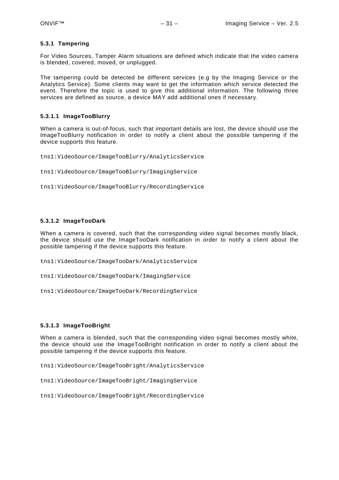#### <span id="page-30-0"></span>**5.3.1 Tampering**

For Video Sources, Tamper Alarm situations are defined which indicate that the video camera is blended, covered, moved, or unplugged.

The tampering could be detected be different services (e.g by the Imaging Service or the Analytics Service). Some clients may want to get the information which service detected the event. Therefore the topic is used to give this additional information. The following three services are defined as source, a device MAY add additional ones if necessary.

## **5.3.1.1 ImageTooBlurry**

When a camera is out-of-focus, such that important details are lost, the device should use the ImageTooBlurry notification in order to notify a client about the possible tampering if the device supports this feature.

```
tns1:VideoSource/ImageTooBlurry/AnalyticsService
```

```
tns1:VideoSource/ImageTooBlurry/ImagingService
```

```
tns1:VideoSource/ImageTooBlurry/RecordingService
```
#### **5.3.1.2 ImageTooDark**

When a camera is covered, such that the corresponding video signal becomes mostly black, the device should use the ImageTooDark notification in order to notify a client about the possible tampering if the device supports this feature.

tns1:VideoSource/ImageTooDark/AnalyticsService

```
tns1:VideoSource/ImageTooDark/ImagingService
```

```
tns1:VideoSource/ImageTooDark/RecordingService
```
## **5.3.1.3 ImageTooBright**

When a camera is blended, such that the corresponding video signal becomes mostly white, the device should use the ImageTooBright notification in order to notify a client about the possible tampering if the device supports this feature.

tns1:VideoSource/ImageTooBright/AnalyticsService

```
tns1:VideoSource/ImageTooBright/ImagingService
```

```
tns1:VideoSource/ImageTooBright/RecordingService
```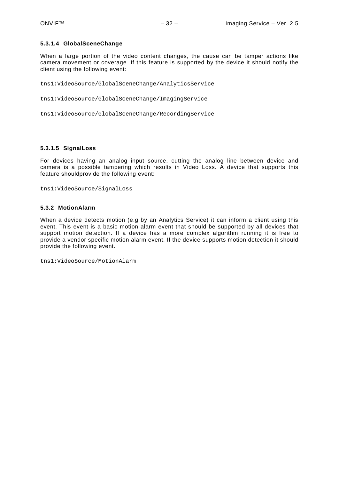## **5.3.1.4 GlobalSceneChange**

When a large portion of the video content changes, the cause can be tamper actions like camera movement or coverage. If this feature is supported by the device it should notify the client using the following event:

tns1:VideoSource/GlobalSceneChange/AnalyticsService

tns1:VideoSource/GlobalSceneChange/ImagingService

tns1:VideoSource/GlobalSceneChange/RecordingService

## **5.3.1.5 SignalLoss**

For devices having an analog input source, cutting the analog line between device and camera is a possible tampering which results in Video Loss. A device that supports this feature shouldprovide the following event:

tns1:VideoSource/SignalLoss

#### <span id="page-31-0"></span>**5.3.2 MotionAlarm**

When a device detects motion (e.g by an Analytics Service) it can inform a client using this event. This event is a basic motion alarm event that should be supported by all devices that support motion detection. If a device has a more complex algorithm running it is free to provide a vendor specific motion alarm event. If the device supports motion detection it should provide the following event.

tns1:VideoSource/MotionAlarm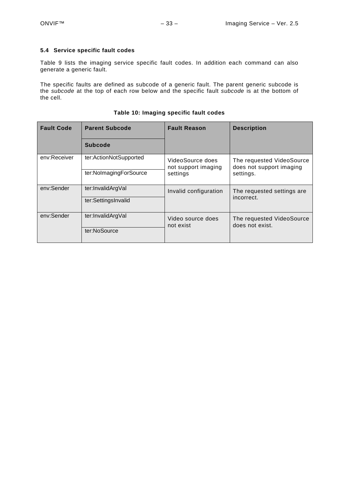## <span id="page-32-0"></span>**5.4 Service specific fault codes**

[Table 9](#page-32-1) lists the imaging service specific fault codes. In addition each command can also generate a generic fault.

The specific faults are defined as subcode of a generic fault. The parent generic subcode is the *subcode* at the top of each row below and the specific fault *subcode* is at the bottom of the cell.

<span id="page-32-1"></span>

| <b>Fault Code</b> | <b>Parent Subcode</b><br>Subcode                 | <b>Fault Reason</b>                                 | <b>Description</b>                                                 |
|-------------------|--------------------------------------------------|-----------------------------------------------------|--------------------------------------------------------------------|
| env:Receiver      | ter:ActionNotSupported<br>ter:NolmagingForSource | VideoSource does<br>not support imaging<br>settings | The requested VideoSource<br>does not support imaging<br>settings. |
| env:Sender        | ter:InvalidArgVal<br>ter:SettingsInvalid         | Invalid configuration                               | The requested settings are<br>incorrect.                           |
| env:Sender        | ter:InvalidArgVal<br>ter:NoSource                | Video source does<br>not exist                      | The requested VideoSource<br>does not exist.                       |

## **Table 10: Imaging specific fault codes**